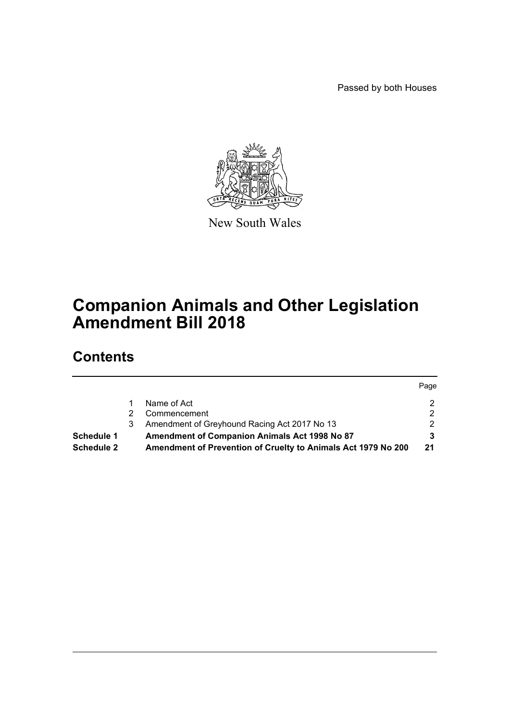Passed by both Houses



New South Wales

# **Companion Animals and Other Legislation Amendment Bill 2018**

# **Contents**

|            |    |                                                               | Page |
|------------|----|---------------------------------------------------------------|------|
|            |    | Name of Act                                                   |      |
|            |    | Commencement                                                  | ົ    |
|            | 3. | Amendment of Greyhound Racing Act 2017 No 13                  |      |
| Schedule 1 |    | Amendment of Companion Animals Act 1998 No 87                 |      |
| Schedule 2 |    | Amendment of Prevention of Cruelty to Animals Act 1979 No 200 | 21   |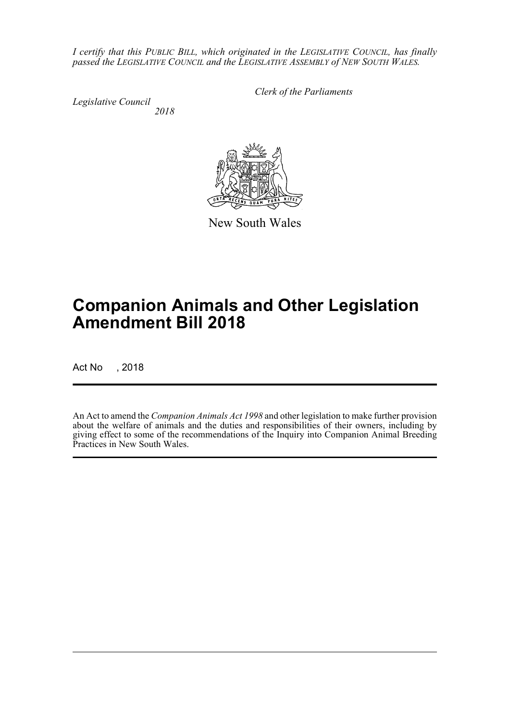*I certify that this PUBLIC BILL, which originated in the LEGISLATIVE COUNCIL, has finally passed the LEGISLATIVE COUNCIL and the LEGISLATIVE ASSEMBLY of NEW SOUTH WALES.*

*Legislative Council 2018* *Clerk of the Parliaments*

New South Wales

# **Companion Animals and Other Legislation Amendment Bill 2018**

Act No , 2018

An Act to amend the *Companion Animals Act 1998* and other legislation to make further provision about the welfare of animals and the duties and responsibilities of their owners, including by giving effect to some of the recommendations of the Inquiry into Companion Animal Breeding Practices in New South Wales.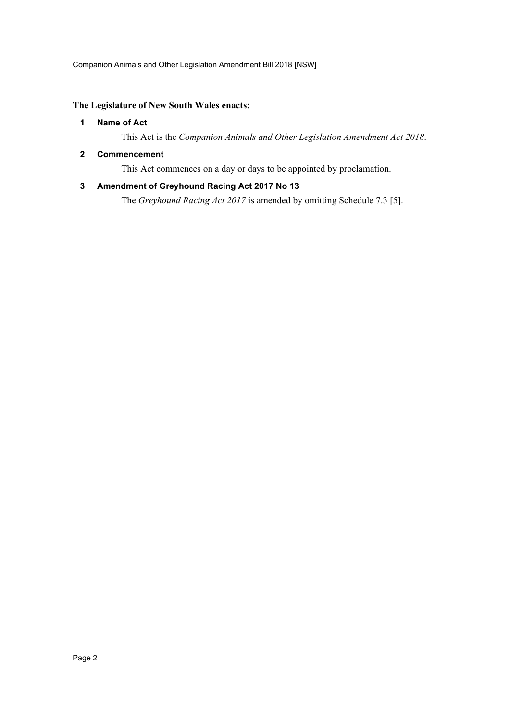Companion Animals and Other Legislation Amendment Bill 2018 [NSW]

## <span id="page-2-0"></span>**The Legislature of New South Wales enacts:**

## **1 Name of Act**

This Act is the *Companion Animals and Other Legislation Amendment Act 2018*.

## <span id="page-2-1"></span>**2 Commencement**

This Act commences on a day or days to be appointed by proclamation.

## <span id="page-2-2"></span>**3 Amendment of Greyhound Racing Act 2017 No 13**

The *Greyhound Racing Act 2017* is amended by omitting Schedule 7.3 [5].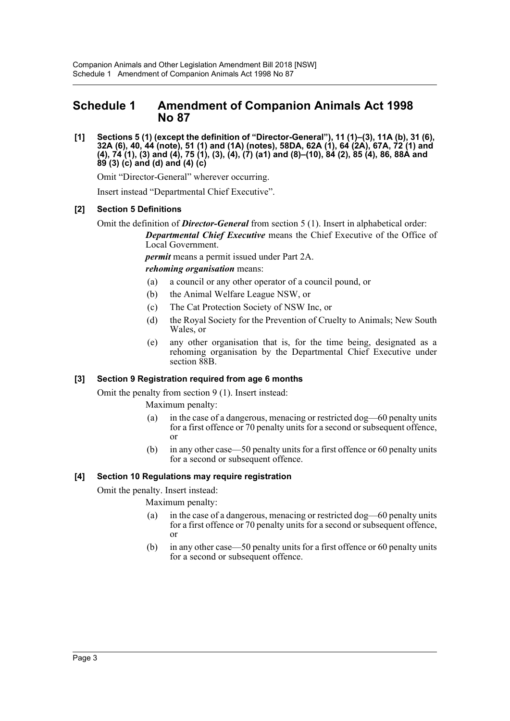## <span id="page-3-0"></span>**Schedule 1 Amendment of Companion Animals Act 1998 No 87**

**[1] Sections 5 (1) (except the definition of "Director-General"), 11 (1)–(3), 11A (b), 31 (6), 32A (6), 40, 44 (note), 51 (1) and (1A) (notes), 58DA, 62A (1), 64 (2A), 67A, 72 (1) and (4), 74 (1), (3) and (4), 75 (1), (3), (4), (7) (a1) and (8)–(10), 84 (2), 85 (4), 86, 88A and 89 (3) (c) and (d) and (4) (c)**

Omit "Director-General" wherever occurring.

Insert instead "Departmental Chief Executive".

## **[2] Section 5 Definitions**

Omit the definition of *Director-General* from section 5 (1). Insert in alphabetical order: *Departmental Chief Executive* means the Chief Executive of the Office of Local Government.

> *permit* means a permit issued under Part 2A. *rehoming organisation* means:

- (a) a council or any other operator of a council pound, or
- (b) the Animal Welfare League NSW, or
- (c) The Cat Protection Society of NSW Inc, or
- (d) the Royal Society for the Prevention of Cruelty to Animals; New South Wales, or
- (e) any other organisation that is, for the time being, designated as a rehoming organisation by the Departmental Chief Executive under section 88B.

## **[3] Section 9 Registration required from age 6 months**

Omit the penalty from section 9 (1). Insert instead:

Maximum penalty:

- (a) in the case of a dangerous, menacing or restricted dog—60 penalty units for a first offence or 70 penalty units for a second or subsequent offence, or
- (b) in any other case—50 penalty units for a first offence or 60 penalty units for a second or subsequent offence.

## **[4] Section 10 Regulations may require registration**

Omit the penalty. Insert instead:

Maximum penalty:

- (a) in the case of a dangerous, menacing or restricted dog—60 penalty units for a first offence or 70 penalty units for a second or subsequent offence, or
- (b) in any other case—50 penalty units for a first offence or 60 penalty units for a second or subsequent offence.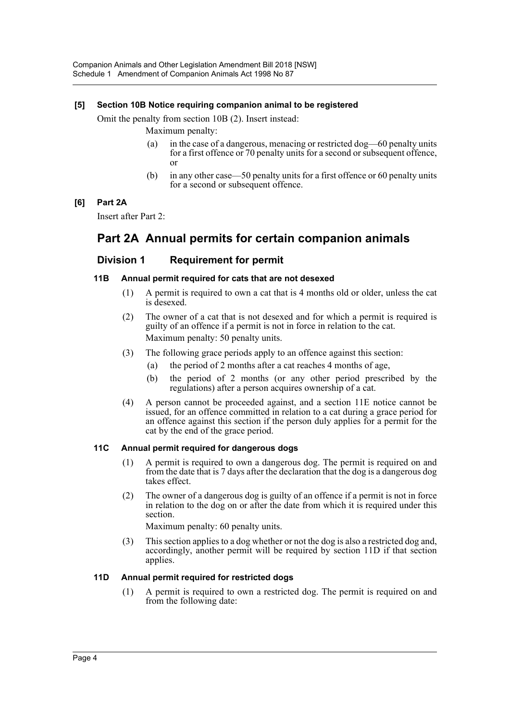## **[5] Section 10B Notice requiring companion animal to be registered**

Omit the penalty from section 10B (2). Insert instead:

Maximum penalty:

- (a) in the case of a dangerous, menacing or restricted dog—60 penalty units for a first offence or 70 penalty units for a second or subsequent offence, or
- (b) in any other case—50 penalty units for a first offence or 60 penalty units for a second or subsequent offence.

## **[6] Part 2A**

Insert after Part 2:

## **Part 2A Annual permits for certain companion animals**

## **Division 1 Requirement for permit**

## **11B Annual permit required for cats that are not desexed**

- (1) A permit is required to own a cat that is 4 months old or older, unless the cat is desexed.
- (2) The owner of a cat that is not desexed and for which a permit is required is guilty of an offence if a permit is not in force in relation to the cat. Maximum penalty: 50 penalty units.
- (3) The following grace periods apply to an offence against this section:
	- (a) the period of 2 months after a cat reaches 4 months of age,
	- (b) the period of 2 months (or any other period prescribed by the regulations) after a person acquires ownership of a cat.
- (4) A person cannot be proceeded against, and a section 11E notice cannot be issued, for an offence committed in relation to a cat during a grace period for an offence against this section if the person duly applies for a permit for the cat by the end of the grace period.

## **11C Annual permit required for dangerous dogs**

- (1) A permit is required to own a dangerous dog. The permit is required on and from the date that is 7 days after the declaration that the dog is a dangerous dog takes effect.
- (2) The owner of a dangerous dog is guilty of an offence if a permit is not in force in relation to the dog on or after the date from which it is required under this section.

Maximum penalty: 60 penalty units.

(3) This section applies to a dog whether or not the dog is also a restricted dog and, accordingly, another permit will be required by section 11D if that section applies.

## **11D Annual permit required for restricted dogs**

(1) A permit is required to own a restricted dog. The permit is required on and from the following date: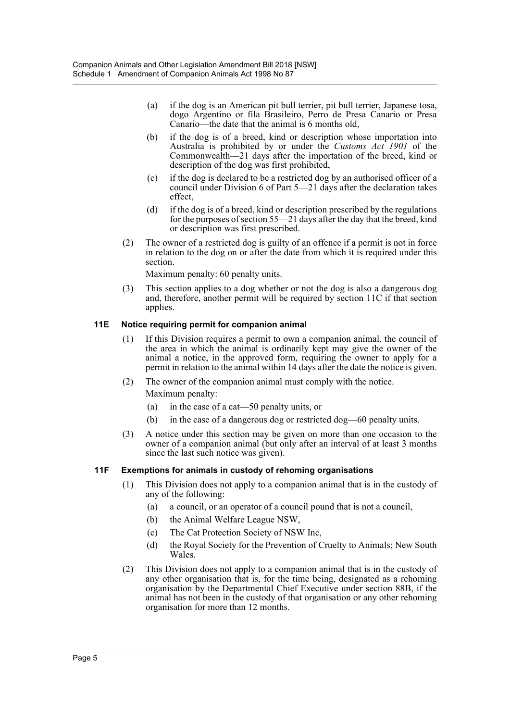- (a) if the dog is an American pit bull terrier, pit bull terrier, Japanese tosa, dogo Argentino or fila Brasileiro, Perro de Presa Canario or Presa Canario—the date that the animal is 6 months old,
- (b) if the dog is of a breed, kind or description whose importation into Australia is prohibited by or under the *Customs Act 1901* of the Commonwealth—21 days after the importation of the breed, kind or description of the dog was first prohibited,
- (c) if the dog is declared to be a restricted dog by an authorised officer of a council under Division 6 of Part 5—21 days after the declaration takes effect,
- (d) if the dog is of a breed, kind or description prescribed by the regulations for the purposes of section 55—21 days after the day that the breed, kind or description was first prescribed.
- (2) The owner of a restricted dog is guilty of an offence if a permit is not in force in relation to the dog on or after the date from which it is required under this section.

Maximum penalty: 60 penalty units.

(3) This section applies to a dog whether or not the dog is also a dangerous dog and, therefore, another permit will be required by section 11C if that section applies.

## **11E Notice requiring permit for companion animal**

- (1) If this Division requires a permit to own a companion animal, the council of the area in which the animal is ordinarily kept may give the owner of the animal a notice, in the approved form, requiring the owner to apply for a permit in relation to the animal within 14 days after the date the notice is given.
- (2) The owner of the companion animal must comply with the notice. Maximum penalty:
	- (a) in the case of a cat—50 penalty units, or
	- (b) in the case of a dangerous dog or restricted dog—60 penalty units.
- (3) A notice under this section may be given on more than one occasion to the owner of a companion animal (but only after an interval of at least 3 months since the last such notice was given).

## **11F Exemptions for animals in custody of rehoming organisations**

- (1) This Division does not apply to a companion animal that is in the custody of any of the following:
	- (a) a council, or an operator of a council pound that is not a council,
	- (b) the Animal Welfare League NSW,
	- (c) The Cat Protection Society of NSW Inc,
	- (d) the Royal Society for the Prevention of Cruelty to Animals; New South Wales.
- (2) This Division does not apply to a companion animal that is in the custody of any other organisation that is, for the time being, designated as a rehoming organisation by the Departmental Chief Executive under section 88B, if the animal has not been in the custody of that organisation or any other rehoming organisation for more than 12 months.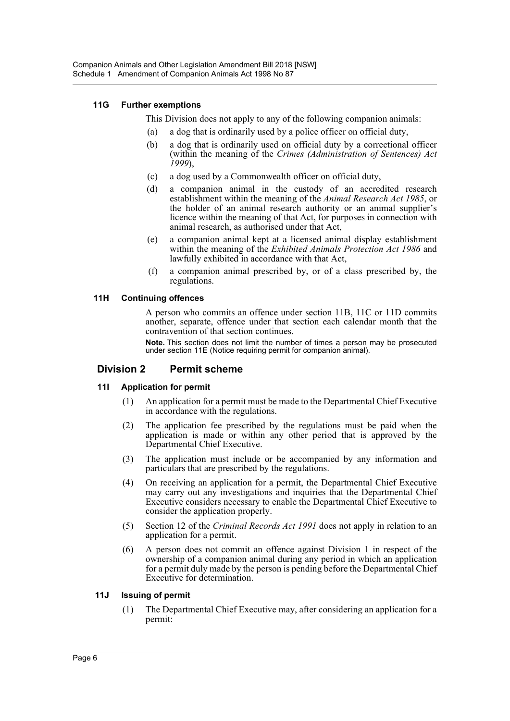## **11G Further exemptions**

This Division does not apply to any of the following companion animals:

- (a) a dog that is ordinarily used by a police officer on official duty,
- (b) a dog that is ordinarily used on official duty by a correctional officer (within the meaning of the *Crimes (Administration of Sentences) Act 1999*),
- (c) a dog used by a Commonwealth officer on official duty,
- (d) a companion animal in the custody of an accredited research establishment within the meaning of the *Animal Research Act 1985*, or the holder of an animal research authority or an animal supplier's licence within the meaning of that Act, for purposes in connection with animal research, as authorised under that Act,
- (e) a companion animal kept at a licensed animal display establishment within the meaning of the *Exhibited Animals Protection Act 1986* and lawfully exhibited in accordance with that Act,
- (f) a companion animal prescribed by, or of a class prescribed by, the regulations.

## **11H Continuing offences**

A person who commits an offence under section 11B, 11C or 11D commits another, separate, offence under that section each calendar month that the contravention of that section continues.

**Note.** This section does not limit the number of times a person may be prosecuted under section 11E (Notice requiring permit for companion animal).

## **Division 2 Permit scheme**

## **11I Application for permit**

- (1) An application for a permit must be made to the Departmental Chief Executive in accordance with the regulations.
- (2) The application fee prescribed by the regulations must be paid when the application is made or within any other period that is approved by the Departmental Chief Executive.
- (3) The application must include or be accompanied by any information and particulars that are prescribed by the regulations.
- (4) On receiving an application for a permit, the Departmental Chief Executive may carry out any investigations and inquiries that the Departmental Chief Executive considers necessary to enable the Departmental Chief Executive to consider the application properly.
- (5) Section 12 of the *Criminal Records Act 1991* does not apply in relation to an application for a permit.
- (6) A person does not commit an offence against Division 1 in respect of the ownership of a companion animal during any period in which an application for a permit duly made by the person is pending before the Departmental Chief Executive for determination.

## **11J Issuing of permit**

(1) The Departmental Chief Executive may, after considering an application for a permit: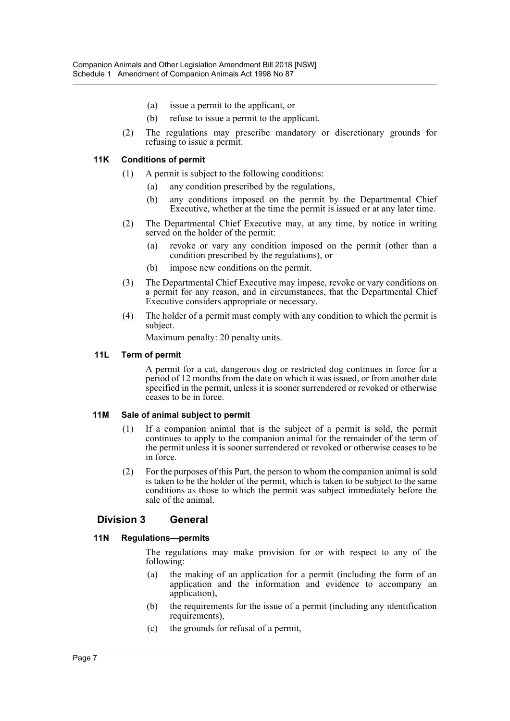- (a) issue a permit to the applicant, or
- (b) refuse to issue a permit to the applicant.
- (2) The regulations may prescribe mandatory or discretionary grounds for refusing to issue a permit.

## **11K Conditions of permit**

- (1) A permit is subject to the following conditions:
	- (a) any condition prescribed by the regulations,
	- (b) any conditions imposed on the permit by the Departmental Chief Executive, whether at the time the permit is issued or at any later time.
- (2) The Departmental Chief Executive may, at any time, by notice in writing served on the holder of the permit:
	- (a) revoke or vary any condition imposed on the permit (other than a condition prescribed by the regulations), or
	- (b) impose new conditions on the permit.
- (3) The Departmental Chief Executive may impose, revoke or vary conditions on a permit for any reason, and in circumstances, that the Departmental Chief Executive considers appropriate or necessary.
- (4) The holder of a permit must comply with any condition to which the permit is subject.

Maximum penalty: 20 penalty units.

#### **11L Term of permit**

A permit for a cat, dangerous dog or restricted dog continues in force for a period of 12 months from the date on which it was issued, or from another date specified in the permit, unless it is sooner surrendered or revoked or otherwise ceases to be in force.

## **11M Sale of animal subject to permit**

- (1) If a companion animal that is the subject of a permit is sold, the permit continues to apply to the companion animal for the remainder of the term of the permit unless it is sooner surrendered or revoked or otherwise ceases to be in force.
- (2) For the purposes of this Part, the person to whom the companion animal is sold is taken to be the holder of the permit, which is taken to be subject to the same conditions as those to which the permit was subject immediately before the sale of the animal.

## **Division 3 General**

## **11N Regulations—permits**

The regulations may make provision for or with respect to any of the following:

- (a) the making of an application for a permit (including the form of an application and the information and evidence to accompany an application),
- (b) the requirements for the issue of a permit (including any identification requirements),
- (c) the grounds for refusal of a permit,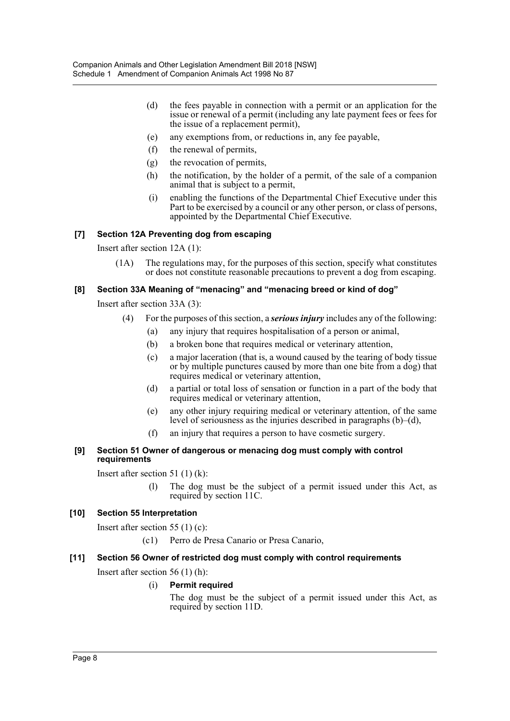- (d) the fees payable in connection with a permit or an application for the issue or renewal of a permit (including any late payment fees or fees for the issue of a replacement permit),
- (e) any exemptions from, or reductions in, any fee payable,
- (f) the renewal of permits,
- (g) the revocation of permits,
- (h) the notification, by the holder of a permit, of the sale of a companion animal that is subject to a permit,
- (i) enabling the functions of the Departmental Chief Executive under this Part to be exercised by a council or any other person, or class of persons, appointed by the Departmental Chief Executive.

## **[7] Section 12A Preventing dog from escaping**

Insert after section 12A (1):

(1A) The regulations may, for the purposes of this section, specify what constitutes or does not constitute reasonable precautions to prevent a dog from escaping.

## **[8] Section 33A Meaning of "menacing" and "menacing breed or kind of dog"**

Insert after section 33A (3):

- (4) For the purposes of this section, a *serious injury* includes any of the following:
	- (a) any injury that requires hospitalisation of a person or animal,
	- (b) a broken bone that requires medical or veterinary attention,
	- (c) a major laceration (that is, a wound caused by the tearing of body tissue or by multiple punctures caused by more than one bite from a dog) that requires medical or veterinary attention,
	- (d) a partial or total loss of sensation or function in a part of the body that requires medical or veterinary attention,
	- (e) any other injury requiring medical or veterinary attention, of the same level of seriousness as the injuries described in paragraphs  $(b)$ –(d),
	- (f) an injury that requires a person to have cosmetic surgery.
- **[9] Section 51 Owner of dangerous or menacing dog must comply with control requirements**

Insert after section 51 (1) (k):

(l) The dog must be the subject of a permit issued under this Act, as required by section 11C.

## **[10] Section 55 Interpretation**

Insert after section 55 (1) (c):

(c1) Perro de Presa Canario or Presa Canario,

## **[11] Section 56 Owner of restricted dog must comply with control requirements**

Insert after section 56 (1) (h):

## (i) **Permit required**

The dog must be the subject of a permit issued under this Act, as required by section 11D.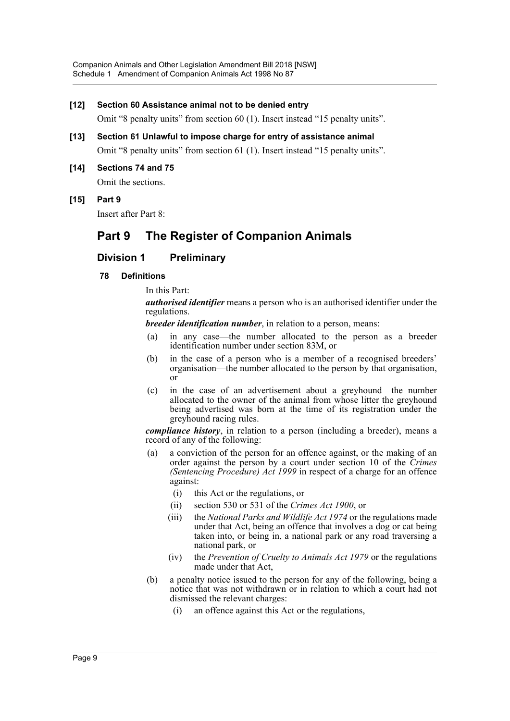#### **[12] Section 60 Assistance animal not to be denied entry**

Omit "8 penalty units" from section 60 (1). Insert instead "15 penalty units".

- **[13] Section 61 Unlawful to impose charge for entry of assistance animal** Omit "8 penalty units" from section 61 (1). Insert instead "15 penalty units".
- **[14] Sections 74 and 75**

Omit the sections.

**[15] Part 9**

Insert after Part 8:

## **Part 9 The Register of Companion Animals**

## **Division 1 Preliminary**

#### **78 Definitions**

In this Part:

*authorised identifier* means a person who is an authorised identifier under the regulations.

*breeder identification number*, in relation to a person, means:

- (a) in any case—the number allocated to the person as a breeder identification number under section 83M, or
- (b) in the case of a person who is a member of a recognised breeders' organisation—the number allocated to the person by that organisation, or
- (c) in the case of an advertisement about a greyhound—the number allocated to the owner of the animal from whose litter the greyhound being advertised was born at the time of its registration under the greyhound racing rules.

*compliance history*, in relation to a person (including a breeder), means a record of any of the following:

- (a) a conviction of the person for an offence against, or the making of an order against the person by a court under section 10 of the *Crimes (Sentencing Procedure) Act 1999* in respect of a charge for an offence against:
	- (i) this Act or the regulations, or
	- (ii) section 530 or 531 of the *Crimes Act 1900*, or
	- (iii) the *National Parks and Wildlife Act 1974* or the regulations made under that Act, being an offence that involves a dog or cat being taken into, or being in, a national park or any road traversing a national park, or
	- (iv) the *Prevention of Cruelty to Animals Act 1979* or the regulations made under that Act,
- (b) a penalty notice issued to the person for any of the following, being a notice that was not withdrawn or in relation to which a court had not dismissed the relevant charges:
	- (i) an offence against this Act or the regulations,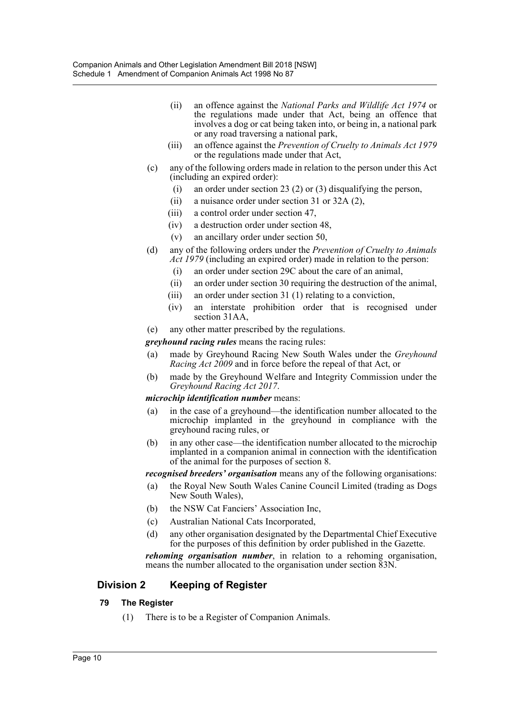- (ii) an offence against the *National Parks and Wildlife Act 1974* or the regulations made under that Act, being an offence that involves a dog or cat being taken into, or being in, a national park or any road traversing a national park,
- (iii) an offence against the *Prevention of Cruelty to Animals Act 1979* or the regulations made under that Act,
- (c) any of the following orders made in relation to the person under this Act (including an expired order):
	- (i) an order under section 23 (2) or (3) disqualifying the person,
	- (ii) a nuisance order under section 31 or 32A (2),
	- (iii) a control order under section 47,
	- (iv) a destruction order under section 48,
	- (v) an ancillary order under section 50,
- (d) any of the following orders under the *Prevention of Cruelty to Animals Act 1979* (including an expired order) made in relation to the person:
	- (i) an order under section 29C about the care of an animal,
	- (ii) an order under section 30 requiring the destruction of the animal,
	- (iii) an order under section 31 (1) relating to a conviction,
	- (iv) an interstate prohibition order that is recognised under section 31AA,
- (e) any other matter prescribed by the regulations.
- *greyhound racing rules* means the racing rules:
- (a) made by Greyhound Racing New South Wales under the *Greyhound Racing Act 2009* and in force before the repeal of that Act, or
- (b) made by the Greyhound Welfare and Integrity Commission under the *Greyhound Racing Act 2017*.

## *microchip identification number* means:

- (a) in the case of a greyhound—the identification number allocated to the microchip implanted in the greyhound in compliance with the greyhound racing rules, or
- (b) in any other case—the identification number allocated to the microchip implanted in a companion animal in connection with the identification of the animal for the purposes of section 8.

*recognised breeders' organisation* means any of the following organisations:

- (a) the Royal New South Wales Canine Council Limited (trading as Dogs New South Wales),
- (b) the NSW Cat Fanciers' Association Inc,
- (c) Australian National Cats Incorporated,
- (d) any other organisation designated by the Departmental Chief Executive for the purposes of this definition by order published in the Gazette.

*rehoming organisation number*, in relation to a rehoming organisation, means the number allocated to the organisation under section 83N.

## **Division 2 Keeping of Register**

## **79 The Register**

(1) There is to be a Register of Companion Animals.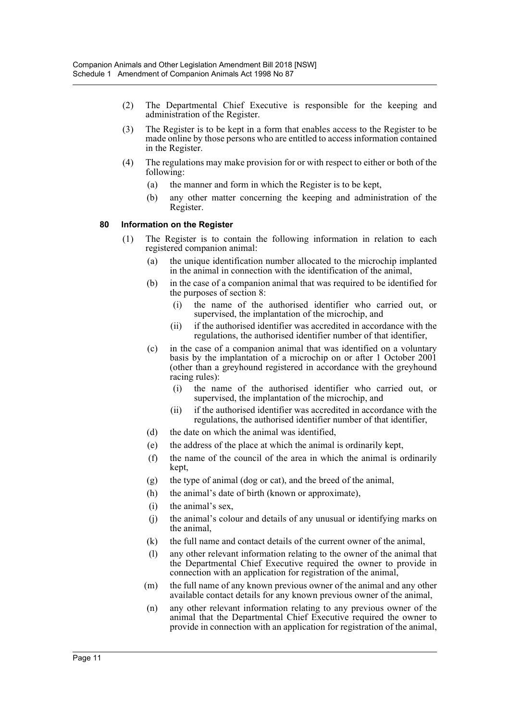- (2) The Departmental Chief Executive is responsible for the keeping and administration of the Register.
- (3) The Register is to be kept in a form that enables access to the Register to be made online by those persons who are entitled to access information contained in the Register.
- (4) The regulations may make provision for or with respect to either or both of the following:
	- (a) the manner and form in which the Register is to be kept,
	- (b) any other matter concerning the keeping and administration of the Register.

## **80 Information on the Register**

- (1) The Register is to contain the following information in relation to each registered companion animal:
	- (a) the unique identification number allocated to the microchip implanted in the animal in connection with the identification of the animal,
	- (b) in the case of a companion animal that was required to be identified for the purposes of section 8:
		- (i) the name of the authorised identifier who carried out, or supervised, the implantation of the microchip, and
		- (ii) if the authorised identifier was accredited in accordance with the regulations, the authorised identifier number of that identifier,
	- (c) in the case of a companion animal that was identified on a voluntary basis by the implantation of a microchip on or after 1 October 2001 (other than a greyhound registered in accordance with the greyhound racing rules):
		- (i) the name of the authorised identifier who carried out, or supervised, the implantation of the microchip, and
		- (ii) if the authorised identifier was accredited in accordance with the regulations, the authorised identifier number of that identifier,
	- (d) the date on which the animal was identified,
	- (e) the address of the place at which the animal is ordinarily kept,
	- (f) the name of the council of the area in which the animal is ordinarily kept,
	- (g) the type of animal (dog or cat), and the breed of the animal,
	- (h) the animal's date of birth (known or approximate),
	- (i) the animal's sex,
	- (j) the animal's colour and details of any unusual or identifying marks on the animal,
	- (k) the full name and contact details of the current owner of the animal,
	- (l) any other relevant information relating to the owner of the animal that the Departmental Chief Executive required the owner to provide in connection with an application for registration of the animal,
	- (m) the full name of any known previous owner of the animal and any other available contact details for any known previous owner of the animal,
	- (n) any other relevant information relating to any previous owner of the animal that the Departmental Chief Executive required the owner to provide in connection with an application for registration of the animal,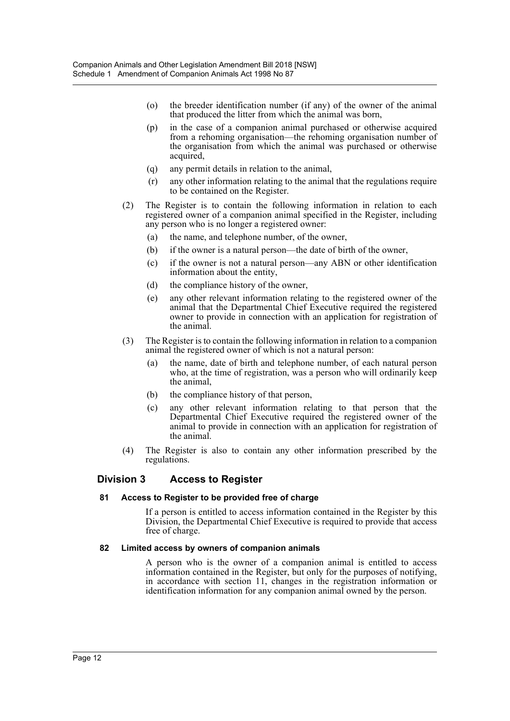- (o) the breeder identification number (if any) of the owner of the animal that produced the litter from which the animal was born,
- (p) in the case of a companion animal purchased or otherwise acquired from a rehoming organisation—the rehoming organisation number of the organisation from which the animal was purchased or otherwise acquired,
- (q) any permit details in relation to the animal,
- (r) any other information relating to the animal that the regulations require to be contained on the Register.
- (2) The Register is to contain the following information in relation to each registered owner of a companion animal specified in the Register, including any person who is no longer a registered owner:
	- (a) the name, and telephone number, of the owner,
	- (b) if the owner is a natural person—the date of birth of the owner,
	- (c) if the owner is not a natural person—any ABN or other identification information about the entity,
	- (d) the compliance history of the owner,
	- (e) any other relevant information relating to the registered owner of the animal that the Departmental Chief Executive required the registered owner to provide in connection with an application for registration of the animal.
- (3) The Register is to contain the following information in relation to a companion animal the registered owner of which is not a natural person:
	- (a) the name, date of birth and telephone number, of each natural person who, at the time of registration, was a person who will ordinarily keep the animal,
	- (b) the compliance history of that person,
	- (c) any other relevant information relating to that person that the Departmental Chief Executive required the registered owner of the animal to provide in connection with an application for registration of the animal.
- (4) The Register is also to contain any other information prescribed by the regulations.

## **Division 3 Access to Register**

## **81 Access to Register to be provided free of charge**

If a person is entitled to access information contained in the Register by this Division, the Departmental Chief Executive is required to provide that access free of charge.

## **82 Limited access by owners of companion animals**

A person who is the owner of a companion animal is entitled to access information contained in the Register, but only for the purposes of notifying, in accordance with section 11, changes in the registration information or identification information for any companion animal owned by the person.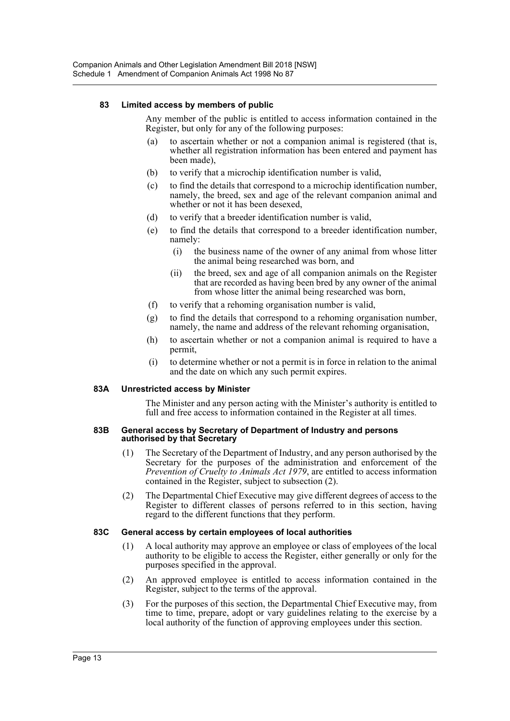## **83 Limited access by members of public**

Any member of the public is entitled to access information contained in the Register, but only for any of the following purposes:

- to ascertain whether or not a companion animal is registered (that is, whether all registration information has been entered and payment has been made),
- (b) to verify that a microchip identification number is valid,
- (c) to find the details that correspond to a microchip identification number, namely, the breed, sex and age of the relevant companion animal and whether or not it has been desexed,
- (d) to verify that a breeder identification number is valid,
- (e) to find the details that correspond to a breeder identification number, namely:
	- (i) the business name of the owner of any animal from whose litter the animal being researched was born, and
	- (ii) the breed, sex and age of all companion animals on the Register that are recorded as having been bred by any owner of the animal from whose litter the animal being researched was born,
- (f) to verify that a rehoming organisation number is valid,
- (g) to find the details that correspond to a rehoming organisation number, namely, the name and address of the relevant rehoming organisation,
- (h) to ascertain whether or not a companion animal is required to have a permit,
- (i) to determine whether or not a permit is in force in relation to the animal and the date on which any such permit expires.

## **83A Unrestricted access by Minister**

The Minister and any person acting with the Minister's authority is entitled to full and free access to information contained in the Register at all times.

#### **83B General access by Secretary of Department of Industry and persons authorised by that Secretary**

- (1) The Secretary of the Department of Industry, and any person authorised by the Secretary for the purposes of the administration and enforcement of the *Prevention of Cruelty to Animals Act 1979*, are entitled to access information contained in the Register, subject to subsection (2).
- (2) The Departmental Chief Executive may give different degrees of access to the Register to different classes of persons referred to in this section, having regard to the different functions that they perform.

## **83C General access by certain employees of local authorities**

- (1) A local authority may approve an employee or class of employees of the local authority to be eligible to access the Register, either generally or only for the purposes specified in the approval.
- (2) An approved employee is entitled to access information contained in the Register, subject to the terms of the approval.
- (3) For the purposes of this section, the Departmental Chief Executive may, from time to time, prepare, adopt or vary guidelines relating to the exercise by a local authority of the function of approving employees under this section.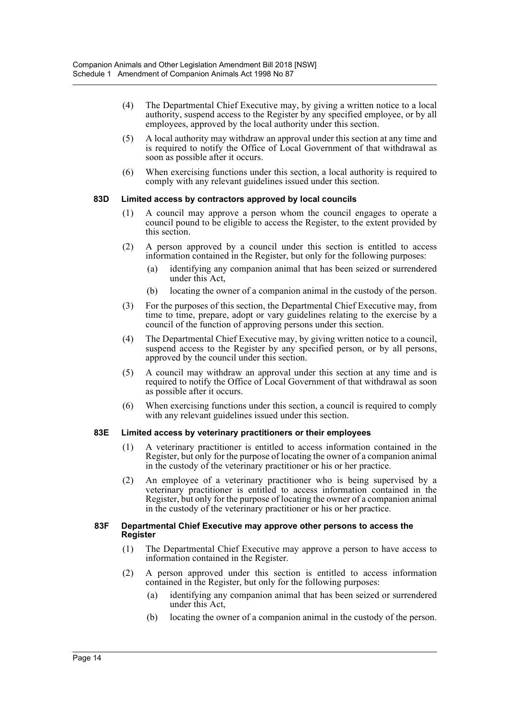- (4) The Departmental Chief Executive may, by giving a written notice to a local authority, suspend access to the Register by any specified employee, or by all employees, approved by the local authority under this section.
- (5) A local authority may withdraw an approval under this section at any time and is required to notify the Office of Local Government of that withdrawal as soon as possible after it occurs.
- (6) When exercising functions under this section, a local authority is required to comply with any relevant guidelines issued under this section.

## **83D Limited access by contractors approved by local councils**

- (1) A council may approve a person whom the council engages to operate a council pound to be eligible to access the Register, to the extent provided by this section.
- (2) A person approved by a council under this section is entitled to access information contained in the Register, but only for the following purposes:
	- (a) identifying any companion animal that has been seized or surrendered under this Act,
	- (b) locating the owner of a companion animal in the custody of the person.
- (3) For the purposes of this section, the Departmental Chief Executive may, from time to time, prepare, adopt or vary guidelines relating to the exercise by a council of the function of approving persons under this section.
- (4) The Departmental Chief Executive may, by giving written notice to a council, suspend access to the Register by any specified person, or by all persons, approved by the council under this section.
- (5) A council may withdraw an approval under this section at any time and is required to notify the Office of Local Government of that withdrawal as soon as possible after it occurs.
- (6) When exercising functions under this section, a council is required to comply with any relevant guidelines issued under this section.

## **83E Limited access by veterinary practitioners or their employees**

- (1) A veterinary practitioner is entitled to access information contained in the Register, but only for the purpose of locating the owner of a companion animal in the custody of the veterinary practitioner or his or her practice.
- (2) An employee of a veterinary practitioner who is being supervised by a veterinary practitioner is entitled to access information contained in the Register, but only for the purpose of locating the owner of a companion animal in the custody of the veterinary practitioner or his or her practice.

#### **83F Departmental Chief Executive may approve other persons to access the Register**

- (1) The Departmental Chief Executive may approve a person to have access to information contained in the Register.
- (2) A person approved under this section is entitled to access information contained in the Register, but only for the following purposes:
	- (a) identifying any companion animal that has been seized or surrendered under this Act,
	- (b) locating the owner of a companion animal in the custody of the person.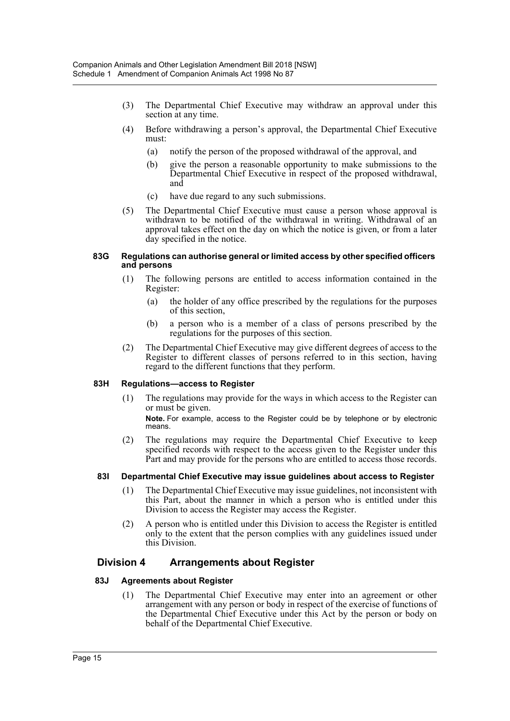- (3) The Departmental Chief Executive may withdraw an approval under this section at any time.
- (4) Before withdrawing a person's approval, the Departmental Chief Executive must:
	- (a) notify the person of the proposed withdrawal of the approval, and
	- (b) give the person a reasonable opportunity to make submissions to the Departmental Chief Executive in respect of the proposed withdrawal, and
	- (c) have due regard to any such submissions.
- (5) The Departmental Chief Executive must cause a person whose approval is withdrawn to be notified of the withdrawal in writing. Withdrawal of an approval takes effect on the day on which the notice is given, or from a later day specified in the notice.

#### **83G Regulations can authorise general or limited access by other specified officers and persons**

- (1) The following persons are entitled to access information contained in the Register:
	- (a) the holder of any office prescribed by the regulations for the purposes of this section,
	- (b) a person who is a member of a class of persons prescribed by the regulations for the purposes of this section.
- (2) The Departmental Chief Executive may give different degrees of access to the Register to different classes of persons referred to in this section, having regard to the different functions that they perform.

## **83H Regulations—access to Register**

(1) The regulations may provide for the ways in which access to the Register can or must be given.

**Note.** For example, access to the Register could be by telephone or by electronic means.

(2) The regulations may require the Departmental Chief Executive to keep specified records with respect to the access given to the Register under this Part and may provide for the persons who are entitled to access those records.

## **83I Departmental Chief Executive may issue guidelines about access to Register**

- (1) The Departmental Chief Executive may issue guidelines, not inconsistent with this Part, about the manner in which a person who is entitled under this Division to access the Register may access the Register.
- (2) A person who is entitled under this Division to access the Register is entitled only to the extent that the person complies with any guidelines issued under this Division.

## **Division 4 Arrangements about Register**

#### **83J Agreements about Register**

(1) The Departmental Chief Executive may enter into an agreement or other arrangement with any person or body in respect of the exercise of functions of the Departmental Chief Executive under this Act by the person or body on behalf of the Departmental Chief Executive.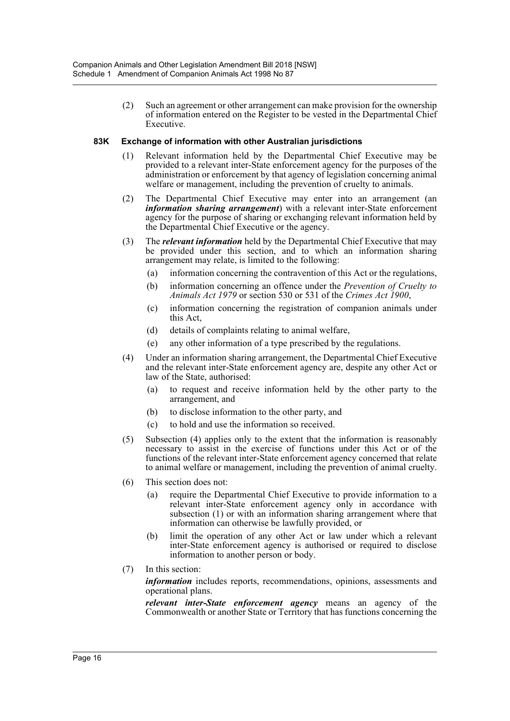(2) Such an agreement or other arrangement can make provision for the ownership of information entered on the Register to be vested in the Departmental Chief Executive.

## **83K Exchange of information with other Australian jurisdictions**

- (1) Relevant information held by the Departmental Chief Executive may be provided to a relevant inter-State enforcement agency for the purposes of the administration or enforcement by that agency of legislation concerning animal welfare or management, including the prevention of cruelty to animals.
- (2) The Departmental Chief Executive may enter into an arrangement (an *information sharing arrangement*) with a relevant inter-State enforcement agency for the purpose of sharing or exchanging relevant information held by the Departmental Chief Executive or the agency.
- (3) The *relevant information* held by the Departmental Chief Executive that may be provided under this section, and to which an information sharing arrangement may relate, is limited to the following:
	- (a) information concerning the contravention of this Act or the regulations,
	- (b) information concerning an offence under the *Prevention of Cruelty to Animals Act 1979* or section 530 or 531 of the *Crimes Act 1900*,
	- (c) information concerning the registration of companion animals under this Act,
	- (d) details of complaints relating to animal welfare,
	- (e) any other information of a type prescribed by the regulations.
- (4) Under an information sharing arrangement, the Departmental Chief Executive and the relevant inter-State enforcement agency are, despite any other Act or law of the State, authorised:
	- (a) to request and receive information held by the other party to the arrangement, and
	- (b) to disclose information to the other party, and
	- (c) to hold and use the information so received.
- (5) Subsection (4) applies only to the extent that the information is reasonably necessary to assist in the exercise of functions under this Act or of the functions of the relevant inter-State enforcement agency concerned that relate to animal welfare or management, including the prevention of animal cruelty.
- (6) This section does not:
	- (a) require the Departmental Chief Executive to provide information to a relevant inter-State enforcement agency only in accordance with subsection (1) or with an information sharing arrangement where that information can otherwise be lawfully provided, or
	- (b) limit the operation of any other Act or law under which a relevant inter-State enforcement agency is authorised or required to disclose information to another person or body.
- (7) In this section:

*information* includes reports, recommendations, opinions, assessments and operational plans.

*relevant inter-State enforcement agency* means an agency of the Commonwealth or another State or Territory that has functions concerning the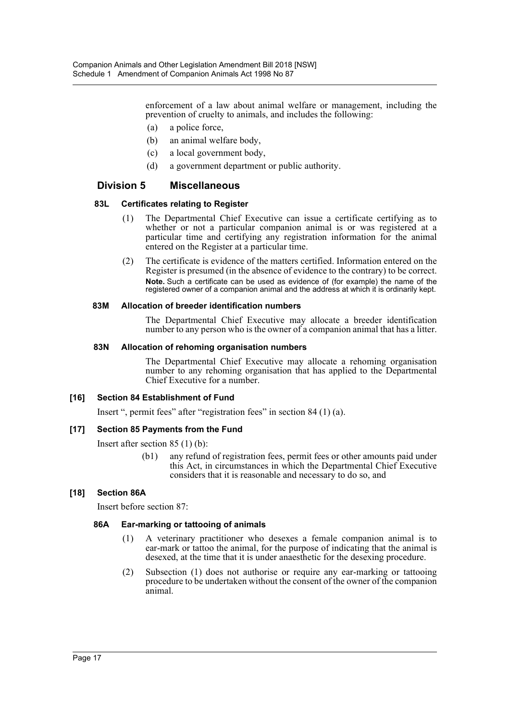enforcement of a law about animal welfare or management, including the prevention of cruelty to animals, and includes the following:

- (a) a police force,
- (b) an animal welfare body,
- (c) a local government body,
- (d) a government department or public authority.

## **Division 5 Miscellaneous**

## **83L Certificates relating to Register**

- (1) The Departmental Chief Executive can issue a certificate certifying as to whether or not a particular companion animal is or was registered at a particular time and certifying any registration information for the animal entered on the Register at a particular time.
- (2) The certificate is evidence of the matters certified. Information entered on the Register is presumed (in the absence of evidence to the contrary) to be correct. **Note.** Such a certificate can be used as evidence of (for example) the name of the registered owner of a companion animal and the address at which it is ordinarily kept.

## **83M Allocation of breeder identification numbers**

The Departmental Chief Executive may allocate a breeder identification number to any person who is the owner of a companion animal that has a litter.

## **83N Allocation of rehoming organisation numbers**

The Departmental Chief Executive may allocate a rehoming organisation number to any rehoming organisation that has applied to the Departmental Chief Executive for a number.

## **[16] Section 84 Establishment of Fund**

Insert ", permit fees" after "registration fees" in section 84 (1) (a).

## **[17] Section 85 Payments from the Fund**

Insert after section 85 (1) (b):

(b1) any refund of registration fees, permit fees or other amounts paid under this Act, in circumstances in which the Departmental Chief Executive considers that it is reasonable and necessary to do so, and

## **[18] Section 86A**

Insert before section 87:

## **86A Ear-marking or tattooing of animals**

- (1) A veterinary practitioner who desexes a female companion animal is to ear-mark or tattoo the animal, for the purpose of indicating that the animal is desexed, at the time that it is under anaesthetic for the desexing procedure.
- (2) Subsection (1) does not authorise or require any ear-marking or tattooing procedure to be undertaken without the consent of the owner of the companion animal.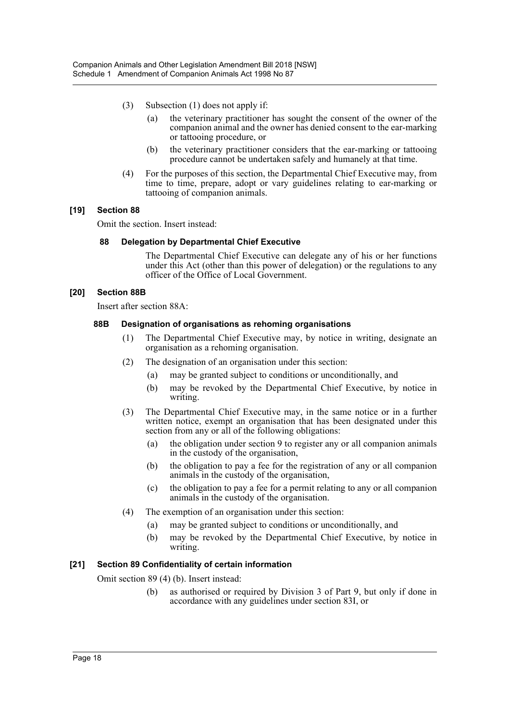- (3) Subsection (1) does not apply if:
	- (a) the veterinary practitioner has sought the consent of the owner of the companion animal and the owner has denied consent to the ear-marking or tattooing procedure, or
	- (b) the veterinary practitioner considers that the ear-marking or tattooing procedure cannot be undertaken safely and humanely at that time.
- (4) For the purposes of this section, the Departmental Chief Executive may, from time to time, prepare, adopt or vary guidelines relating to ear-marking or tattooing of companion animals.

## **[19] Section 88**

Omit the section. Insert instead:

#### **88 Delegation by Departmental Chief Executive**

The Departmental Chief Executive can delegate any of his or her functions under this Act (other than this power of delegation) or the regulations to any officer of the Office of Local Government.

## **[20] Section 88B**

Insert after section 88A:

## **88B Designation of organisations as rehoming organisations**

- (1) The Departmental Chief Executive may, by notice in writing, designate an organisation as a rehoming organisation.
- (2) The designation of an organisation under this section:
	- (a) may be granted subject to conditions or unconditionally, and
	- (b) may be revoked by the Departmental Chief Executive, by notice in writing.
- (3) The Departmental Chief Executive may, in the same notice or in a further written notice, exempt an organisation that has been designated under this section from any or all of the following obligations:
	- (a) the obligation under section 9 to register any or all companion animals in the custody of the organisation,
	- (b) the obligation to pay a fee for the registration of any or all companion animals in the custody of the organisation,
	- (c) the obligation to pay a fee for a permit relating to any or all companion animals in the custody of the organisation.
- (4) The exemption of an organisation under this section:
	- (a) may be granted subject to conditions or unconditionally, and
	- (b) may be revoked by the Departmental Chief Executive, by notice in writing.

## **[21] Section 89 Confidentiality of certain information**

Omit section 89 (4) (b). Insert instead:

(b) as authorised or required by Division 3 of Part 9, but only if done in accordance with any guidelines under section 83I, or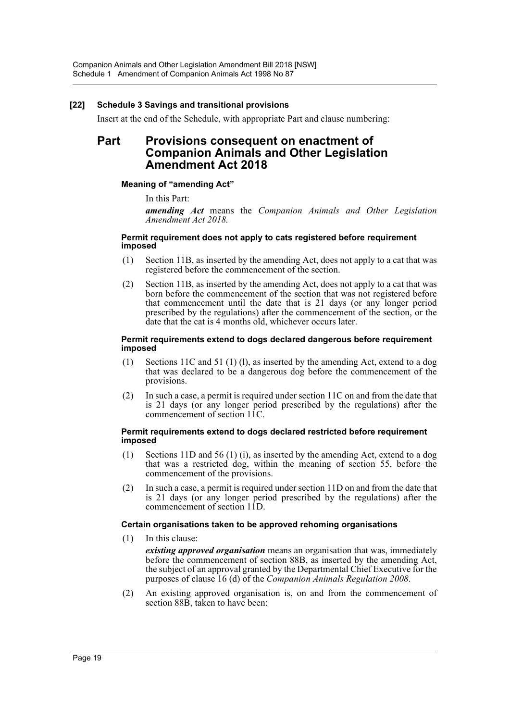## **[22] Schedule 3 Savings and transitional provisions**

Insert at the end of the Schedule, with appropriate Part and clause numbering:

## **Part Provisions consequent on enactment of Companion Animals and Other Legislation Amendment Act 2018**

## **Meaning of "amending Act"**

In this Part:

*amending Act* means the *Companion Animals and Other Legislation Amendment Act 2018.*

#### **Permit requirement does not apply to cats registered before requirement imposed**

- (1) Section 11B, as inserted by the amending Act, does not apply to a cat that was registered before the commencement of the section.
- (2) Section 11B, as inserted by the amending Act, does not apply to a cat that was born before the commencement of the section that was not registered before that commencement until the date that is 21 days (or any longer period prescribed by the regulations) after the commencement of the section, or the date that the cat is 4 months old, whichever occurs later.

#### **Permit requirements extend to dogs declared dangerous before requirement imposed**

- (1) Sections 11C and 51 (1) (l), as inserted by the amending Act, extend to a dog that was declared to be a dangerous dog before the commencement of the provisions.
- (2) In such a case, a permit is required under section 11C on and from the date that is 21 days (or any longer period prescribed by the regulations) after the commencement of section 11C.

#### **Permit requirements extend to dogs declared restricted before requirement imposed**

- (1) Sections 11D and 56 (1) (i), as inserted by the amending Act, extend to a dog that was a restricted dog, within the meaning of section 55, before the commencement of the provisions.
- (2) In such a case, a permit is required under section 11D on and from the date that is 21 days (or any longer period prescribed by the regulations) after the commencement of section 11D.

## **Certain organisations taken to be approved rehoming organisations**

- (1) In this clause:
	- *existing approved organisation* means an organisation that was, immediately before the commencement of section 88B, as inserted by the amending Act, the subject of an approval granted by the Departmental Chief Executive for the purposes of clause 16 (d) of the *Companion Animals Regulation 2008*.
- (2) An existing approved organisation is, on and from the commencement of section 88B, taken to have been: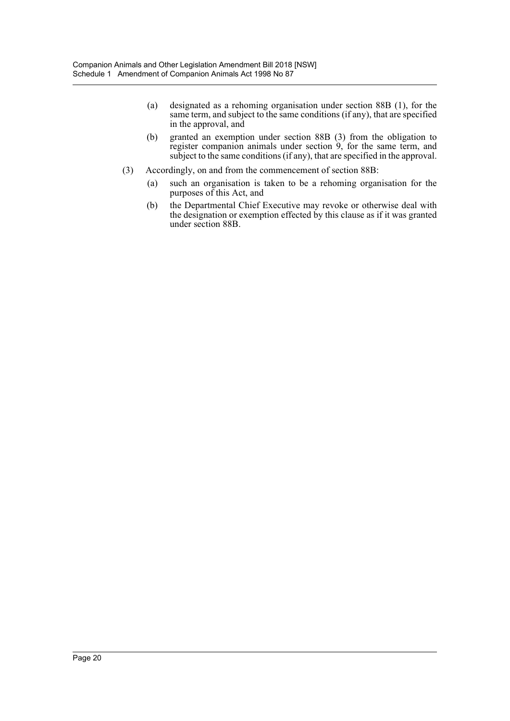- (a) designated as a rehoming organisation under section 88B (1), for the same term, and subject to the same conditions (if any), that are specified in the approval, and
- (b) granted an exemption under section 88B (3) from the obligation to register companion animals under section 9, for the same term, and subject to the same conditions (if any), that are specified in the approval.
- (3) Accordingly, on and from the commencement of section 88B:
	- (a) such an organisation is taken to be a rehoming organisation for the purposes of this Act, and
	- (b) the Departmental Chief Executive may revoke or otherwise deal with the designation or exemption effected by this clause as if it was granted under section 88B.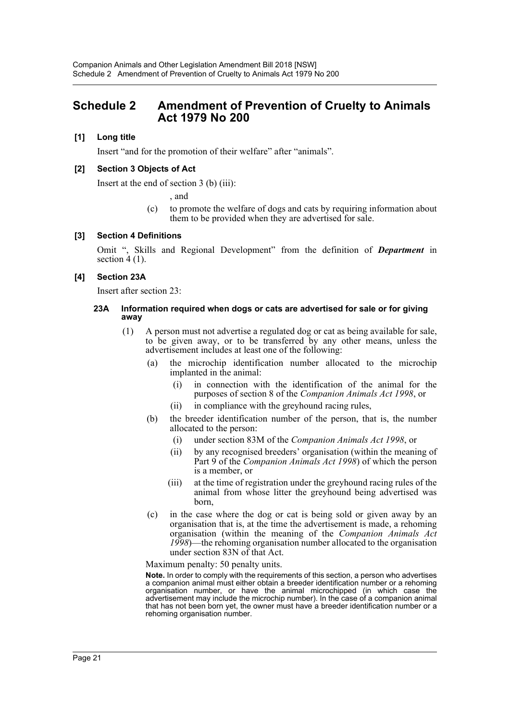## <span id="page-21-0"></span>**Schedule 2 Amendment of Prevention of Cruelty to Animals Act 1979 No 200**

## **[1] Long title**

Insert "and for the promotion of their welfare" after "animals".

## **[2] Section 3 Objects of Act**

Insert at the end of section 3 (b) (iii):

, and

(c) to promote the welfare of dogs and cats by requiring information about them to be provided when they are advertised for sale.

## **[3] Section 4 Definitions**

Omit ", Skills and Regional Development" from the definition of *Department* in section  $4(1)$ .

## **[4] Section 23A**

Insert after section 23:

#### **23A Information required when dogs or cats are advertised for sale or for giving away**

- (1) A person must not advertise a regulated dog or cat as being available for sale, to be given away, or to be transferred by any other means, unless the advertisement includes at least one of the following:
	- (a) the microchip identification number allocated to the microchip implanted in the animal:
		- (i) in connection with the identification of the animal for the purposes of section 8 of the *Companion Animals Act 1998*, or
		- (ii) in compliance with the greyhound racing rules,
	- (b) the breeder identification number of the person, that is, the number allocated to the person:
		- (i) under section 83M of the *Companion Animals Act 1998*, or
		- (ii) by any recognised breeders' organisation (within the meaning of Part 9 of the *Companion Animals Act 1998*) of which the person is a member, or
		- (iii) at the time of registration under the greyhound racing rules of the animal from whose litter the greyhound being advertised was born,
	- (c) in the case where the dog or cat is being sold or given away by an organisation that is, at the time the advertisement is made, a rehoming organisation (within the meaning of the *Companion Animals Act 1998*)—the rehoming organisation number allocated to the organisation under section 83N of that Act.

Maximum penalty: 50 penalty units.

**Note.** In order to comply with the requirements of this section, a person who advertises a companion animal must either obtain a breeder identification number or a rehoming organisation number, or have the animal microchipped (in which case the advertisement may include the microchip number). In the case of a companion animal that has not been born yet, the owner must have a breeder identification number or a rehoming organisation number.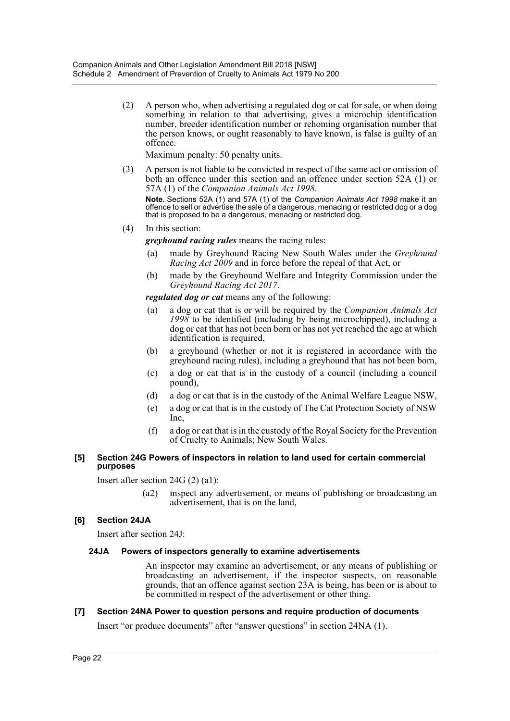(2) A person who, when advertising a regulated dog or cat for sale, or when doing something in relation to that advertising, gives a microchip identification number, breeder identification number or rehoming organisation number that the person knows, or ought reasonably to have known, is false is guilty of an offence.

Maximum penalty: 50 penalty units.

(3) A person is not liable to be convicted in respect of the same act or omission of both an offence under this section and an offence under section 52A (1) or 57A (1) of the *Companion Animals Act 1998*. **Note.** Sections 52A (1) and 57A (1) of the *Companion Animals Act 1998* make it an

offence to sell or advertise the sale of a dangerous, menacing or restricted dog or a dog that is proposed to be a dangerous, menacing or restricted dog.

(4) In this section:

*greyhound racing rules* means the racing rules:

- (a) made by Greyhound Racing New South Wales under the *Greyhound Racing Act 2009* and in force before the repeal of that Act, or
- (b) made by the Greyhound Welfare and Integrity Commission under the *Greyhound Racing Act 2017*.

*regulated dog or cat* means any of the following:

- (a) a dog or cat that is or will be required by the *Companion Animals Act 1998* to be identified (including by being microchipped), including a dog or cat that has not been born or has not yet reached the age at which identification is required,
- (b) a greyhound (whether or not it is registered in accordance with the greyhound racing rules), including a greyhound that has not been born,
- (c) a dog or cat that is in the custody of a council (including a council pound),
- (d) a dog or cat that is in the custody of the Animal Welfare League NSW,
- (e) a dog or cat that is in the custody of The Cat Protection Society of NSW Inc,
- (f) a dog or cat that is in the custody of the Royal Society for the Prevention of Cruelty to Animals; New South Wales.

## **[5] Section 24G Powers of inspectors in relation to land used for certain commercial purposes**

Insert after section 24G (2) (a1):

(a2) inspect any advertisement, or means of publishing or broadcasting an advertisement, that is on the land,

## **[6] Section 24JA**

Insert after section 24J:

## **24JA Powers of inspectors generally to examine advertisements**

An inspector may examine an advertisement, or any means of publishing or broadcasting an advertisement, if the inspector suspects, on reasonable grounds, that an offence against section 23A is being, has been or is about to be committed in respect of the advertisement or other thing.

## **[7] Section 24NA Power to question persons and require production of documents**

Insert "or produce documents" after "answer questions" in section 24NA (1).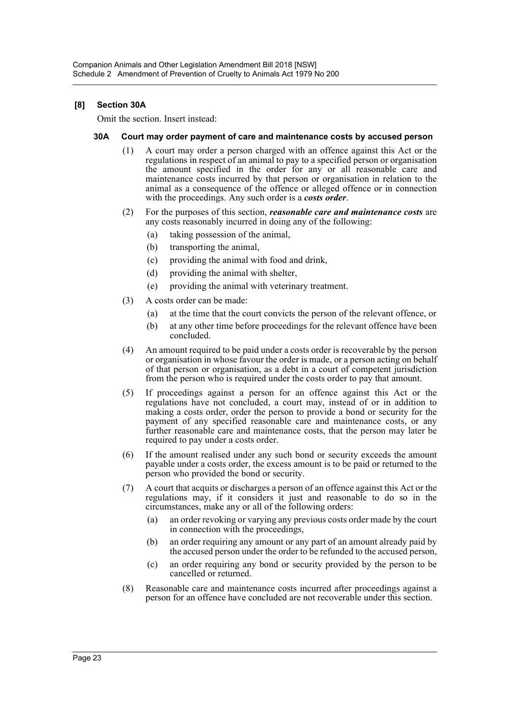## **[8] Section 30A**

Omit the section. Insert instead:

#### **30A Court may order payment of care and maintenance costs by accused person**

- (1) A court may order a person charged with an offence against this Act or the regulations in respect of an animal to pay to a specified person or organisation the amount specified in the order for any or all reasonable care and maintenance costs incurred by that person or organisation in relation to the animal as a consequence of the offence or alleged offence or in connection with the proceedings. Any such order is a *costs order*.
- (2) For the purposes of this section, *reasonable care and maintenance costs* are any costs reasonably incurred in doing any of the following:
	- (a) taking possession of the animal,
	- (b) transporting the animal,
	- (c) providing the animal with food and drink,
	- (d) providing the animal with shelter,
	- (e) providing the animal with veterinary treatment.
- (3) A costs order can be made:
	- (a) at the time that the court convicts the person of the relevant offence, or
	- (b) at any other time before proceedings for the relevant offence have been concluded.
- (4) An amount required to be paid under a costs order is recoverable by the person or organisation in whose favour the order is made, or a person acting on behalf of that person or organisation, as a debt in a court of competent jurisdiction from the person who is required under the costs order to pay that amount.
- (5) If proceedings against a person for an offence against this Act or the regulations have not concluded, a court may, instead of or in addition to making a costs order, order the person to provide a bond or security for the payment of any specified reasonable care and maintenance costs, or any further reasonable care and maintenance costs, that the person may later be required to pay under a costs order.
- (6) If the amount realised under any such bond or security exceeds the amount payable under a costs order, the excess amount is to be paid or returned to the person who provided the bond or security.
- (7) A court that acquits or discharges a person of an offence against this Act or the regulations may, if it considers it just and reasonable to do so in the circumstances, make any or all of the following orders:
	- (a) an order revoking or varying any previous costs order made by the court in connection with the proceedings,
	- (b) an order requiring any amount or any part of an amount already paid by the accused person under the order to be refunded to the accused person,
	- (c) an order requiring any bond or security provided by the person to be cancelled or returned.
- (8) Reasonable care and maintenance costs incurred after proceedings against a person for an offence have concluded are not recoverable under this section.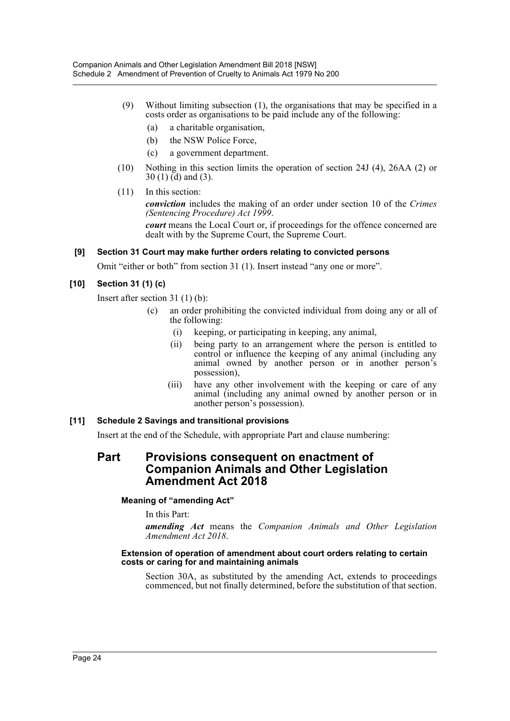- (9) Without limiting subsection (1), the organisations that may be specified in a costs order as organisations to be paid include any of the following:
	- (a) a charitable organisation,
	- (b) the NSW Police Force,
	- (c) a government department.
- (10) Nothing in this section limits the operation of section 24J (4), 26AA (2) or  $30(1)$  (d) and (3).
- (11) In this section:

*conviction* includes the making of an order under section 10 of the *Crimes (Sentencing Procedure) Act 1999*.

*court* means the Local Court or, if proceedings for the offence concerned are dealt with by the Supreme Court, the Supreme Court.

## **[9] Section 31 Court may make further orders relating to convicted persons**

Omit "either or both" from section 31 (1). Insert instead "any one or more".

## **[10] Section 31 (1) (c)**

Insert after section 31 (1) (b):

- (c) an order prohibiting the convicted individual from doing any or all of the following:
	- (i) keeping, or participating in keeping, any animal,
	- (ii) being party to an arrangement where the person is entitled to control or influence the keeping of any animal (including any animal owned by another person or in another person's possession),
	- (iii) have any other involvement with the keeping or care of any animal (including any animal owned by another person or in another person's possession).

## **[11] Schedule 2 Savings and transitional provisions**

Insert at the end of the Schedule, with appropriate Part and clause numbering:

## **Part Provisions consequent on enactment of Companion Animals and Other Legislation Amendment Act 2018**

## **Meaning of "amending Act"**

In this Part:

*amending Act* means the *Companion Animals and Other Legislation Amendment Act 2018*.

#### **Extension of operation of amendment about court orders relating to certain costs or caring for and maintaining animals**

Section 30A, as substituted by the amending Act, extends to proceedings commenced, but not finally determined, before the substitution of that section.